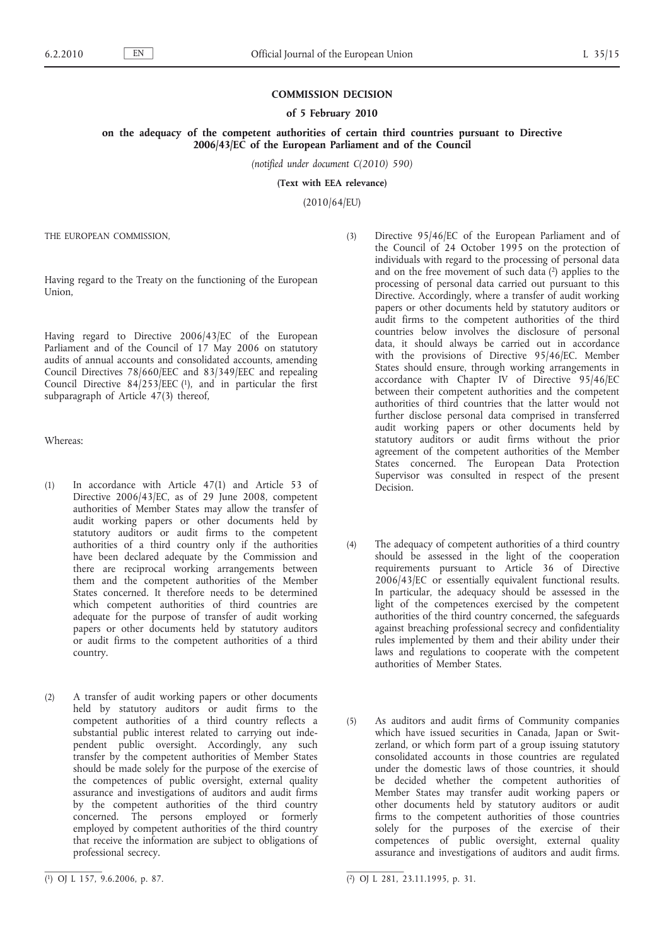### **COMMISSION DECISION**

#### **of 5 February 2010**

**on the adequacy of the competent authorities of certain third countries pursuant to Directive 2006/43/EC of the European Parliament and of the Council**

*(notified under document C(2010) 590)*

**(Text with EEA relevance)**

(2010/64/EU)

THE EUROPEAN COMMISSION,

Having regard to the Treaty on the functioning of the European Union,

Having regard to Directive 2006/43/EC of the European Parliament and of the Council of 17 May 2006 on statutory audits of annual accounts and consolidated accounts, amending Council Directives 78/660/EEC and 83/349/EEC and repealing Council Directive  $84/253/EEC$  (1), and in particular the first subparagraph of Article 47(3) thereof,

Whereas:

- (1) In accordance with Article 47(1) and Article 53 of Directive 2006/43/EC, as of 29 June 2008, competent authorities of Member States may allow the transfer of audit working papers or other documents held by statutory auditors or audit firms to the competent authorities of a third country only if the authorities have been declared adequate by the Commission and there are reciprocal working arrangements between them and the competent authorities of the Member States concerned. It therefore needs to be determined which competent authorities of third countries are adequate for the purpose of transfer of audit working papers or other documents held by statutory auditors or audit firms to the competent authorities of a third country.
- (2) A transfer of audit working papers or other documents held by statutory auditors or audit firms to the competent authorities of a third country reflects a substantial public interest related to carrying out independent public oversight. Accordingly, any such transfer by the competent authorities of Member States should be made solely for the purpose of the exercise of the competences of public oversight, external quality assurance and investigations of auditors and audit firms by the competent authorities of the third country concerned. The persons employed or formerly employed by competent authorities of the third country that receive the information are subject to obligations of professional secrecy.
- (3) Directive 95/46/EC of the European Parliament and of the Council of 24 October 1995 on the protection of individuals with regard to the processing of personal data and on the free movement of such data  $(2)$  applies to the processing of personal data carried out pursuant to this Directive. Accordingly, where a transfer of audit working papers or other documents held by statutory auditors or audit firms to the competent authorities of the third countries below involves the disclosure of personal data, it should always be carried out in accordance with the provisions of Directive 95/46/EC. Member States should ensure, through working arrangements in accordance with Chapter IV of Directive 95/46/EC between their competent authorities and the competent authorities of third countries that the latter would not further disclose personal data comprised in transferred audit working papers or other documents held by statutory auditors or audit firms without the prior agreement of the competent authorities of the Member States concerned. The European Data Protection Supervisor was consulted in respect of the present Decision.
- (4) The adequacy of competent authorities of a third country should be assessed in the light of the cooperation requirements pursuant to Article 36 of Directive 2006/43/EC or essentially equivalent functional results. In particular, the adequacy should be assessed in the light of the competences exercised by the competent authorities of the third country concerned, the safeguards against breaching professional secrecy and confidentiality rules implemented by them and their ability under their laws and regulations to cooperate with the competent authorities of Member States.
- (5) As auditors and audit firms of Community companies which have issued securities in Canada, Japan or Switzerland, or which form part of a group issuing statutory consolidated accounts in those countries are regulated under the domestic laws of those countries, it should be decided whether the competent authorities of Member States may transfer audit working papers or other documents held by statutory auditors or audit firms to the competent authorities of those countries solely for the purposes of the exercise of their competences of public oversight, external quality assurance and investigations of auditors and audit firms.

 $(1)$  OJ L 157, 9.6.2006, p. 87.

<sup>1)</sup> OJ L 157, 9.6.2006, p. 87. (2) OJ L 281, 23.11.1995, p. 31.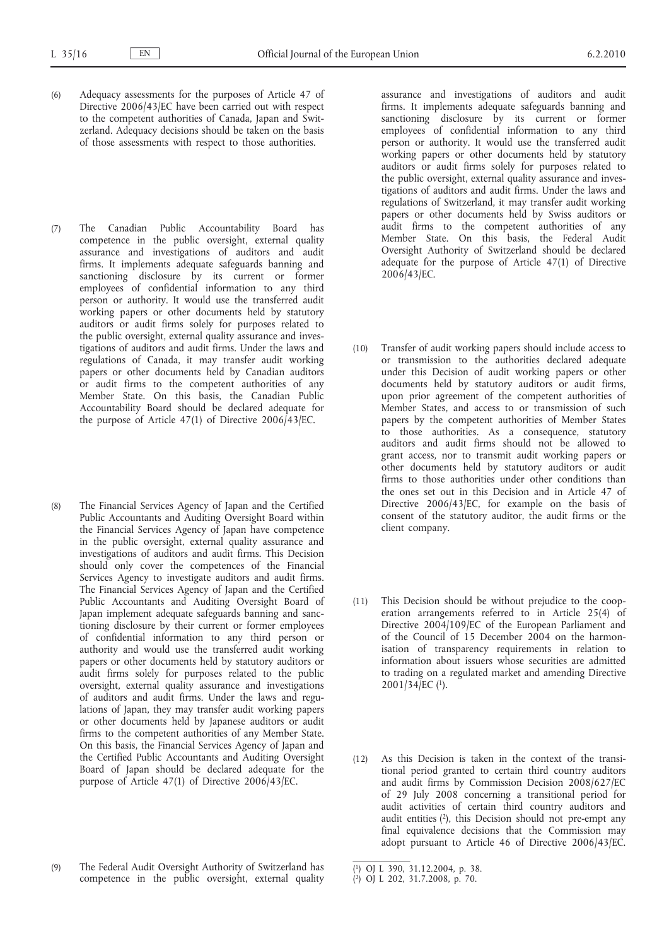- (6) Adequacy assessments for the purposes of Article 47 of Directive 2006/43/EC have been carried out with respect to the competent authorities of Canada, Japan and Switzerland. Adequacy decisions should be taken on the basis of those assessments with respect to those authorities.
- (7) The Canadian Public Accountability Board has competence in the public oversight, external quality assurance and investigations of auditors and audit firms. It implements adequate safeguards banning and sanctioning disclosure by its current or former employees of confidential information to any third person or authority. It would use the transferred audit working papers or other documents held by statutory auditors or audit firms solely for purposes related to the public oversight, external quality assurance and investigations of auditors and audit firms. Under the laws and regulations of Canada, it may transfer audit working papers or other documents held by Canadian auditors or audit firms to the competent authorities of any Member State. On this basis, the Canadian Public Accountability Board should be declared adequate for the purpose of Article 47(1) of Directive 2006/43/EC.
- (8) The Financial Services Agency of Japan and the Certified Public Accountants and Auditing Oversight Board within the Financial Services Agency of Japan have competence in the public oversight, external quality assurance and investigations of auditors and audit firms. This Decision should only cover the competences of the Financial Services Agency to investigate auditors and audit firms. The Financial Services Agency of Japan and the Certified Public Accountants and Auditing Oversight Board of Japan implement adequate safeguards banning and sanctioning disclosure by their current or former employees of confidential information to any third person or authority and would use the transferred audit working papers or other documents held by statutory auditors or audit firms solely for purposes related to the public oversight, external quality assurance and investigations of auditors and audit firms. Under the laws and regulations of Japan, they may transfer audit working papers or other documents held by Japanese auditors or audit firms to the competent authorities of any Member State. On this basis, the Financial Services Agency of Japan and the Certified Public Accountants and Auditing Oversight Board of Japan should be declared adequate for the purpose of Article 47(1) of Directive 2006/43/EC.
- (9) The Federal Audit Oversight Authority of Switzerland has competence in the public oversight, external quality

assurance and investigations of auditors and audit firms. It implements adequate safeguards banning and sanctioning disclosure by its current or former employees of confidential information to any third person or authority. It would use the transferred audit working papers or other documents held by statutory auditors or audit firms solely for purposes related to the public oversight, external quality assurance and investigations of auditors and audit firms. Under the laws and regulations of Switzerland, it may transfer audit working papers or other documents held by Swiss auditors or audit firms to the competent authorities of any Member State. On this basis, the Federal Audit Oversight Authority of Switzerland should be declared adequate for the purpose of Article 47(1) of Directive 2006/43/EC.

- (10) Transfer of audit working papers should include access to or transmission to the authorities declared adequate under this Decision of audit working papers or other documents held by statutory auditors or audit firms, upon prior agreement of the competent authorities of Member States, and access to or transmission of such papers by the competent authorities of Member States to those authorities. As a consequence, statutory auditors and audit firms should not be allowed to grant access, nor to transmit audit working papers or other documents held by statutory auditors or audit firms to those authorities under other conditions than the ones set out in this Decision and in Article 47 of Directive 2006/43/EC, for example on the basis of consent of the statutory auditor, the audit firms or the client company.
- (11) This Decision should be without prejudice to the cooperation arrangements referred to in Article 25(4) of Directive 2004/109/EC of the European Parliament and of the Council of 15 December 2004 on the harmonisation of transparency requirements in relation to information about issuers whose securities are admitted to trading on a regulated market and amending Directive  $2001/34/EC$  (1).
- (12) As this Decision is taken in the context of the transitional period granted to certain third country auditors and audit firms by Commission Decision 2008/627/EC of 29 July 2008 concerning a transitional period for audit activities of certain third country auditors and audit entities  $(2)$ , this Decision should not pre-empt any final equivalence decisions that the Commission may adopt pursuant to Article 46 of Directive 2006/43/EC.

<sup>(</sup> 1) OJ L 390, 31.12.2004, p. 38.

<sup>(</sup> 2) OJ L 202, 31.7.2008, p. 70.